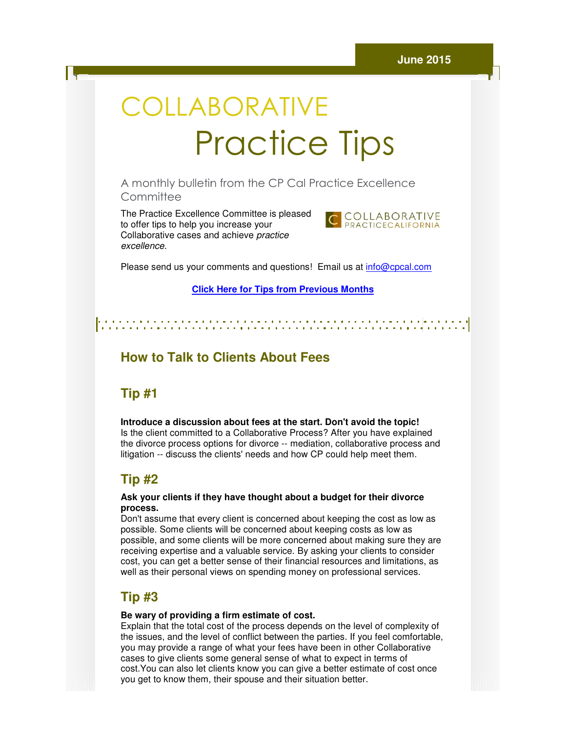# COLLABORATIVE Practice Practice Tips

A monthly bulletin from the CP Cal Practice Excellence CP Cal **Committee** 

The Practice Excellence Committee is pleased to offer tips to help you increase your The Practice Excellence Committee is ple<br>to offer tips to help you increase your<br>Collaborative cases and achieve *practice* excellence.



Please send us your comments and questions! Email us at *info@cpcal.com* 

**Click Here f for Tips from Previous Months**

## **How to Talk to Clients About Fees**

## **Tip #1**

**Introduce a discussion about fees at the start. Don't avoid the topic!**  Is the client committed to a Collaborative Process? After you have explained the divorce process options for divorce -- mediation, collaborative process and litigation -- discuss the clients' needs and how CP could help meet them.

## **Tip #2**

#### **Ask your clients if they have thought about a budget for their divorce clients if thought about a process.**

Don't assume that every client is concerned about keeping the cost as low as possible. Some clients will be concerned about keeping costs as low as possible, and some clients will be more concerned about making sure they are receiving expertise and a valuable service. By asking your clients to consider cost, you can get a better sense of their financial resources and limitations, as well as their personal views on spending money on professional services. possible. Some clients will be concerned about ke<br>possible, and some clients will be more concerne<br>receiving expertise and a valuable service. By asl<br>cost, you can get a better sense of their financial<br>well as their person

## **Tip #3**

#### Be wary of providing a firm estimate of cost.

Explain that the total cost of the process depends on the level of complexity of the issues, and the level of conflict between the parties. If you feel comfortable, you may provide a range of what your fees have been in other Collaborative you may provide a range of what your fees have been in other Collabor<br>cases to give clients some general sense of what to expect in terms of cost.You can also let clients know you can give a better estimate of cost once cost.You can also let clients know you can give a better estimate<br>you get to know them, their spouse and their situation better.